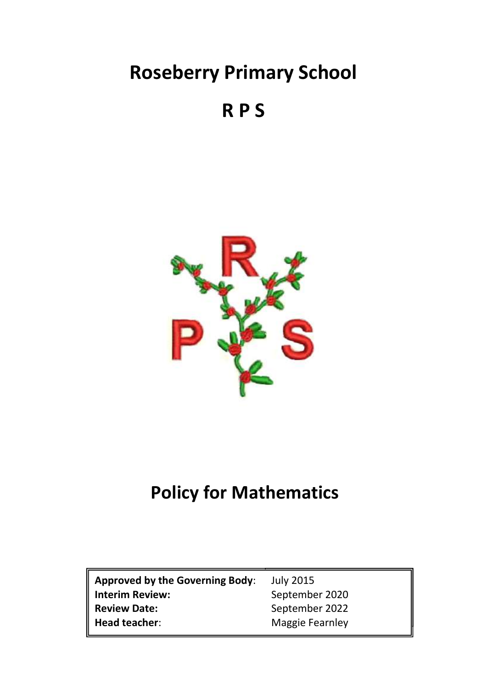# **Roseberry Primary School**

## **R P S**



## **Policy for Mathematics**

| Approved by the Governing Body: | <b>July 2015</b> |
|---------------------------------|------------------|
| Interim Review:                 | September 2020   |
| Review Date:                    | September 2022   |
| $\parallel$ Head teacher:       | Maggie Fearnley  |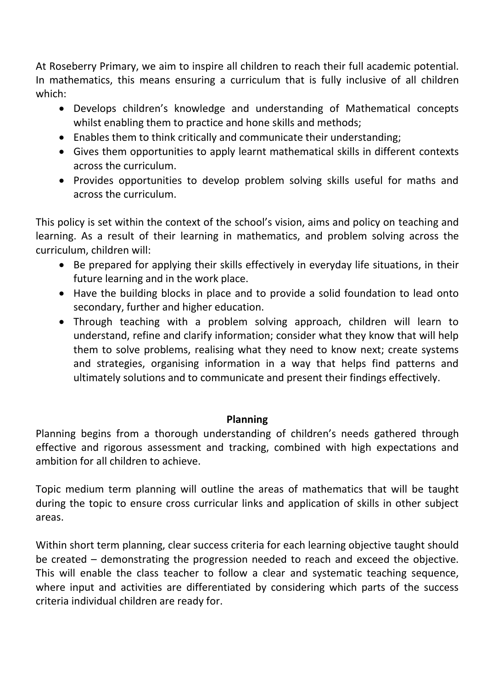At Roseberry Primary, we aim to inspire all children to reach their full academic potential. In mathematics, this means ensuring a curriculum that is fully inclusive of all children which:

- Develops children's knowledge and understanding of Mathematical concepts whilst enabling them to practice and hone skills and methods;
- Enables them to think critically and communicate their understanding;
- Gives them opportunities to apply learnt mathematical skills in different contexts across the curriculum.
- Provides opportunities to develop problem solving skills useful for maths and across the curriculum.

This policy is set within the context of the school's vision, aims and policy on teaching and learning. As a result of their learning in mathematics, and problem solving across the curriculum, children will:

- Be prepared for applying their skills effectively in everyday life situations, in their future learning and in the work place.
- Have the building blocks in place and to provide a solid foundation to lead onto secondary, further and higher education.
- Through teaching with a problem solving approach, children will learn to understand, refine and clarify information; consider what they know that will help them to solve problems, realising what they need to know next; create systems and strategies, organising information in a way that helps find patterns and ultimately solutions and to communicate and present their findings effectively.

#### **Planning**

Planning begins from a thorough understanding of children's needs gathered through effective and rigorous assessment and tracking, combined with high expectations and ambition for all children to achieve.

Topic medium term planning will outline the areas of mathematics that will be taught during the topic to ensure cross curricular links and application of skills in other subject areas.

Within short term planning, clear success criteria for each learning objective taught should be created – demonstrating the progression needed to reach and exceed the objective. This will enable the class teacher to follow a clear and systematic teaching sequence, where input and activities are differentiated by considering which parts of the success criteria individual children are ready for.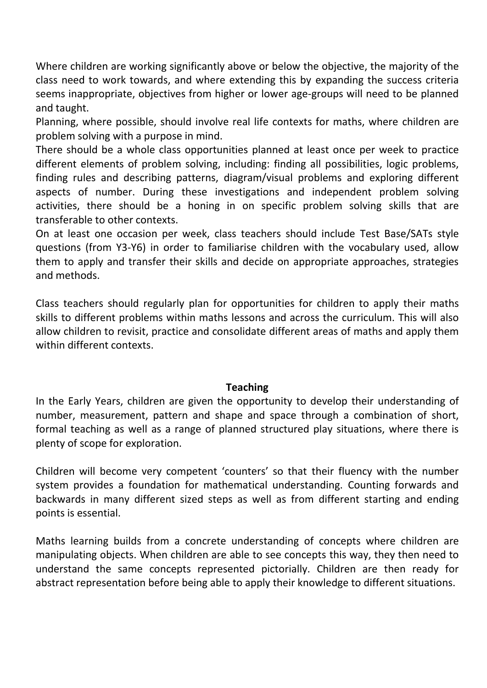Where children are working significantly above or below the objective, the majority of the class need to work towards, and where extending this by expanding the success criteria seems inappropriate, objectives from higher or lower age-groups will need to be planned and taught.

Planning, where possible, should involve real life contexts for maths, where children are problem solving with a purpose in mind.

There should be a whole class opportunities planned at least once per week to practice different elements of problem solving, including: finding all possibilities, logic problems, finding rules and describing patterns, diagram/visual problems and exploring different aspects of number. During these investigations and independent problem solving activities, there should be a honing in on specific problem solving skills that are transferable to other contexts.

On at least one occasion per week, class teachers should include Test Base/SATs style questions (from Y3-Y6) in order to familiarise children with the vocabulary used, allow them to apply and transfer their skills and decide on appropriate approaches, strategies and methods.

Class teachers should regularly plan for opportunities for children to apply their maths skills to different problems within maths lessons and across the curriculum. This will also allow children to revisit, practice and consolidate different areas of maths and apply them within different contexts.

#### **Teaching**

In the Early Years, children are given the opportunity to develop their understanding of number, measurement, pattern and shape and space through a combination of short, formal teaching as well as a range of planned structured play situations, where there is plenty of scope for exploration.

Children will become very competent 'counters' so that their fluency with the number system provides a foundation for mathematical understanding. Counting forwards and backwards in many different sized steps as well as from different starting and ending points is essential.

Maths learning builds from a concrete understanding of concepts where children are manipulating objects. When children are able to see concepts this way, they then need to understand the same concepts represented pictorially. Children are then ready for abstract representation before being able to apply their knowledge to different situations.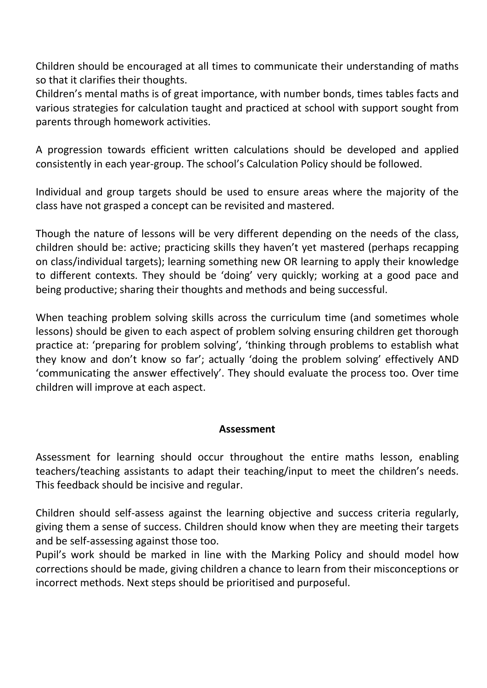Children should be encouraged at all times to communicate their understanding of maths so that it clarifies their thoughts.

Children's mental maths is of great importance, with number bonds, times tables facts and various strategies for calculation taught and practiced at school with support sought from parents through homework activities.

A progression towards efficient written calculations should be developed and applied consistently in each year-group. The school's Calculation Policy should be followed.

Individual and group targets should be used to ensure areas where the majority of the class have not grasped a concept can be revisited and mastered.

Though the nature of lessons will be very different depending on the needs of the class, children should be: active; practicing skills they haven't yet mastered (perhaps recapping on class/individual targets); learning something new OR learning to apply their knowledge to different contexts. They should be 'doing' very quickly; working at a good pace and being productive; sharing their thoughts and methods and being successful.

When teaching problem solving skills across the curriculum time (and sometimes whole lessons) should be given to each aspect of problem solving ensuring children get thorough practice at: 'preparing for problem solving', 'thinking through problems to establish what they know and don't know so far'; actually 'doing the problem solving' effectively AND 'communicating the answer effectively'. They should evaluate the process too. Over time children will improve at each aspect.

#### **Assessment**

Assessment for learning should occur throughout the entire maths lesson, enabling teachers/teaching assistants to adapt their teaching/input to meet the children's needs. This feedback should be incisive and regular.

Children should self-assess against the learning objective and success criteria regularly, giving them a sense of success. Children should know when they are meeting their targets and be self-assessing against those too.

Pupil's work should be marked in line with the Marking Policy and should model how corrections should be made, giving children a chance to learn from their misconceptions or incorrect methods. Next steps should be prioritised and purposeful.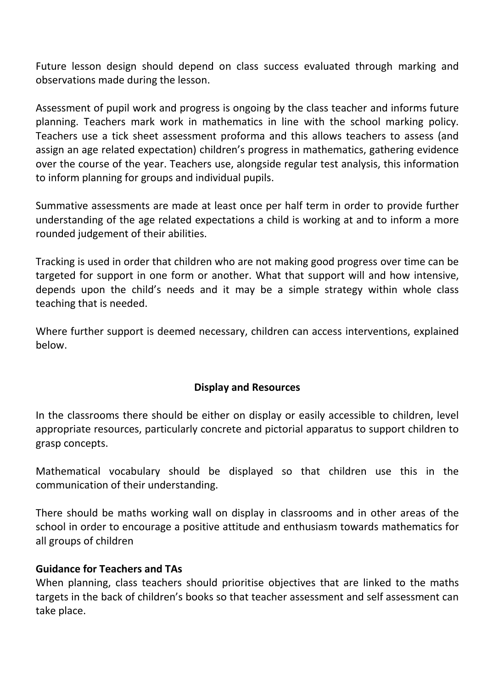Future lesson design should depend on class success evaluated through marking and observations made during the lesson.

Assessment of pupil work and progress is ongoing by the class teacher and informs future planning. Teachers mark work in mathematics in line with the school marking policy. Teachers use a tick sheet assessment proforma and this allows teachers to assess (and assign an age related expectation) children's progress in mathematics, gathering evidence over the course of the year. Teachers use, alongside regular test analysis, this information to inform planning for groups and individual pupils.

Summative assessments are made at least once per half term in order to provide further understanding of the age related expectations a child is working at and to inform a more rounded judgement of their abilities.

Tracking is used in order that children who are not making good progress over time can be targeted for support in one form or another. What that support will and how intensive, depends upon the child's needs and it may be a simple strategy within whole class teaching that is needed.

Where further support is deemed necessary, children can access interventions, explained below.

#### **Display and Resources**

In the classrooms there should be either on display or easily accessible to children, level appropriate resources, particularly concrete and pictorial apparatus to support children to grasp concepts.

Mathematical vocabulary should be displayed so that children use this in the communication of their understanding.

There should be maths working wall on display in classrooms and in other areas of the school in order to encourage a positive attitude and enthusiasm towards mathematics for all groups of children

#### **Guidance for Teachers and TAs**

When planning, class teachers should prioritise objectives that are linked to the maths targets in the back of children's books so that teacher assessment and self assessment can take place.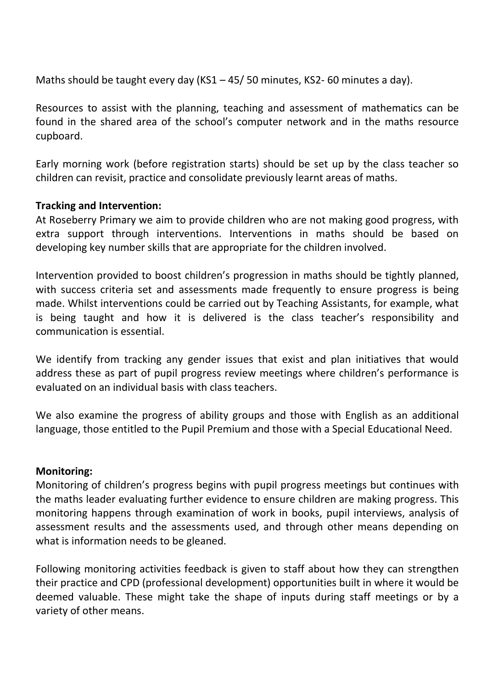Maths should be taught every day (KS1 – 45/ 50 minutes, KS2- 60 minutes a day).

Resources to assist with the planning, teaching and assessment of mathematics can be found in the shared area of the school's computer network and in the maths resource cupboard.

Early morning work (before registration starts) should be set up by the class teacher so children can revisit, practice and consolidate previously learnt areas of maths.

#### **Tracking and Intervention:**

At Roseberry Primary we aim to provide children who are not making good progress, with extra support through interventions. Interventions in maths should be based on developing key number skills that are appropriate for the children involved.

Intervention provided to boost children's progression in maths should be tightly planned, with success criteria set and assessments made frequently to ensure progress is being made. Whilst interventions could be carried out by Teaching Assistants, for example, what is being taught and how it is delivered is the class teacher's responsibility and communication is essential.

We identify from tracking any gender issues that exist and plan initiatives that would address these as part of pupil progress review meetings where children's performance is evaluated on an individual basis with class teachers.

We also examine the progress of ability groups and those with English as an additional language, those entitled to the Pupil Premium and those with a Special Educational Need.

#### **Monitoring:**

Monitoring of children's progress begins with pupil progress meetings but continues with the maths leader evaluating further evidence to ensure children are making progress. This monitoring happens through examination of work in books, pupil interviews, analysis of assessment results and the assessments used, and through other means depending on what is information needs to be gleaned.

Following monitoring activities feedback is given to staff about how they can strengthen their practice and CPD (professional development) opportunities built in where it would be deemed valuable. These might take the shape of inputs during staff meetings or by a variety of other means.